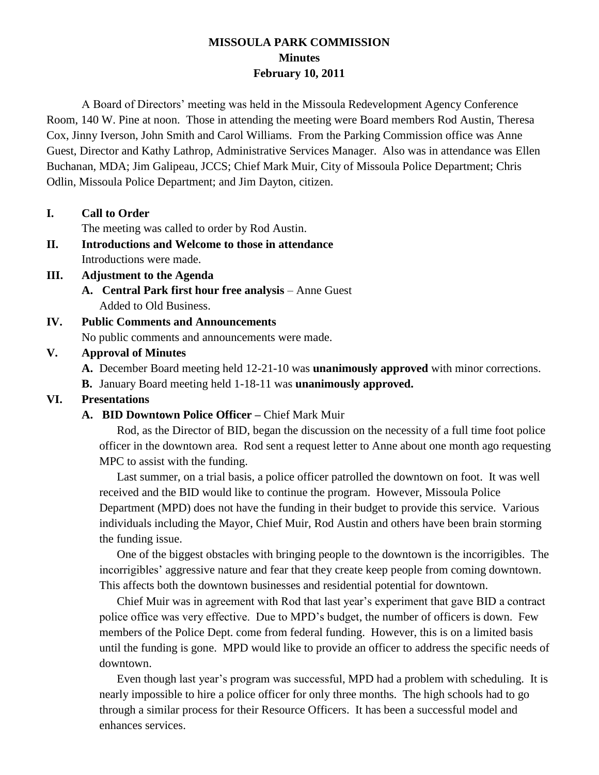## **MISSOULA PARK COMMISSION Minutes February 10, 2011**

A Board of Directors' meeting was held in the Missoula Redevelopment Agency Conference Room, 140 W. Pine at noon. Those in attending the meeting were Board members Rod Austin, Theresa Cox, Jinny Iverson, John Smith and Carol Williams. From the Parking Commission office was Anne Guest, Director and Kathy Lathrop, Administrative Services Manager. Also was in attendance was Ellen Buchanan, MDA; Jim Galipeau, JCCS; Chief Mark Muir, City of Missoula Police Department; Chris Odlin, Missoula Police Department; and Jim Dayton, citizen.

**I. Call to Order**

The meeting was called to order by Rod Austin.

- **II. Introductions and Welcome to those in attendance** Introductions were made.
- **III. Adjustment to the Agenda**
	- **A. Central Park first hour free analysis**  Anne Guest Added to Old Business.
- **IV. Public Comments and Announcements** No public comments and announcements were made.

### **V. Approval of Minutes**

- **A.** December Board meeting held 12-21-10 was **unanimously approved** with minor corrections.
- **B.** January Board meeting held 1-18-11 was **unanimously approved.**

## **VI. Presentations**

### **A. BID Downtown Police Officer –** Chief Mark Muir

Rod, as the Director of BID, began the discussion on the necessity of a full time foot police officer in the downtown area. Rod sent a request letter to Anne about one month ago requesting MPC to assist with the funding.

Last summer, on a trial basis, a police officer patrolled the downtown on foot. It was well received and the BID would like to continue the program. However, Missoula Police Department (MPD) does not have the funding in their budget to provide this service. Various individuals including the Mayor, Chief Muir, Rod Austin and others have been brain storming the funding issue.

One of the biggest obstacles with bringing people to the downtown is the incorrigibles. The incorrigibles' aggressive nature and fear that they create keep people from coming downtown. This affects both the downtown businesses and residential potential for downtown.

Chief Muir was in agreement with Rod that last year's experiment that gave BID a contract police office was very effective. Due to MPD's budget, the number of officers is down. Few members of the Police Dept. come from federal funding. However, this is on a limited basis until the funding is gone. MPD would like to provide an officer to address the specific needs of downtown.

Even though last year's program was successful, MPD had a problem with scheduling. It is nearly impossible to hire a police officer for only three months. The high schools had to go through a similar process for their Resource Officers. It has been a successful model and enhances services.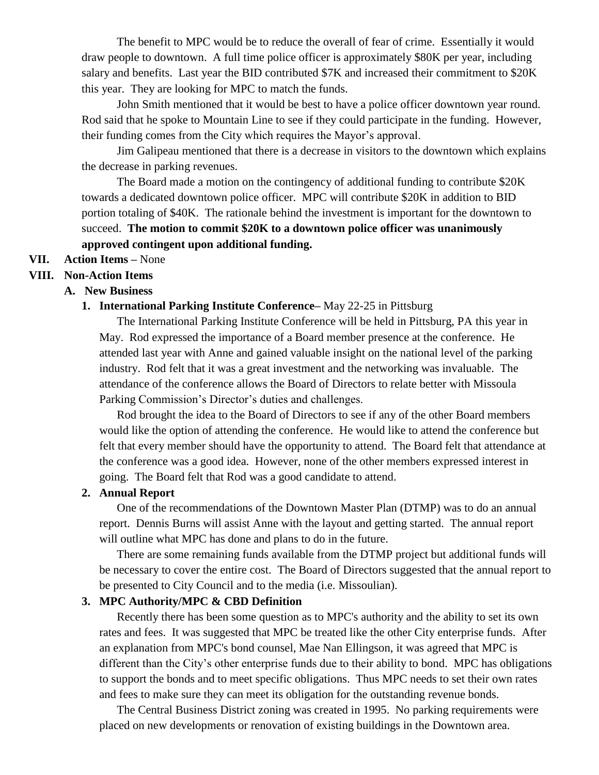The benefit to MPC would be to reduce the overall of fear of crime. Essentially it would draw people to downtown. A full time police officer is approximately \$80K per year, including salary and benefits. Last year the BID contributed \$7K and increased their commitment to \$20K this year. They are looking for MPC to match the funds.

John Smith mentioned that it would be best to have a police officer downtown year round. Rod said that he spoke to Mountain Line to see if they could participate in the funding. However, their funding comes from the City which requires the Mayor's approval.

Jim Galipeau mentioned that there is a decrease in visitors to the downtown which explains the decrease in parking revenues.

The Board made a motion on the contingency of additional funding to contribute \$20K towards a dedicated downtown police officer. MPC will contribute \$20K in addition to BID portion totaling of \$40K. The rationale behind the investment is important for the downtown to succeed. **The motion to commit \$20K to a downtown police officer was unanimously approved contingent upon additional funding.**

### **VII. Action Items –** None

#### **VIII. Non-Action Items**

#### **A. New Business**

#### **1. International Parking Institute Conference–** May 22-25 in Pittsburg

The International Parking Institute Conference will be held in Pittsburg, PA this year in May. Rod expressed the importance of a Board member presence at the conference. He attended last year with Anne and gained valuable insight on the national level of the parking industry. Rod felt that it was a great investment and the networking was invaluable. The attendance of the conference allows the Board of Directors to relate better with Missoula Parking Commission's Director's duties and challenges.

Rod brought the idea to the Board of Directors to see if any of the other Board members would like the option of attending the conference. He would like to attend the conference but felt that every member should have the opportunity to attend. The Board felt that attendance at the conference was a good idea. However, none of the other members expressed interest in going. The Board felt that Rod was a good candidate to attend.

#### **2. Annual Report**

One of the recommendations of the Downtown Master Plan (DTMP) was to do an annual report. Dennis Burns will assist Anne with the layout and getting started. The annual report will outline what MPC has done and plans to do in the future.

There are some remaining funds available from the DTMP project but additional funds will be necessary to cover the entire cost. The Board of Directors suggested that the annual report to be presented to City Council and to the media (i.e. Missoulian).

#### **3. MPC Authority/MPC & CBD Definition**

Recently there has been some question as to MPC's authority and the ability to set its own rates and fees. It was suggested that MPC be treated like the other City enterprise funds. After an explanation from MPC's bond counsel, Mae Nan Ellingson, it was agreed that MPC is different than the City's other enterprise funds due to their ability to bond. MPC has obligations to support the bonds and to meet specific obligations. Thus MPC needs to set their own rates and fees to make sure they can meet its obligation for the outstanding revenue bonds.

The Central Business District zoning was created in 1995. No parking requirements were placed on new developments or renovation of existing buildings in the Downtown area.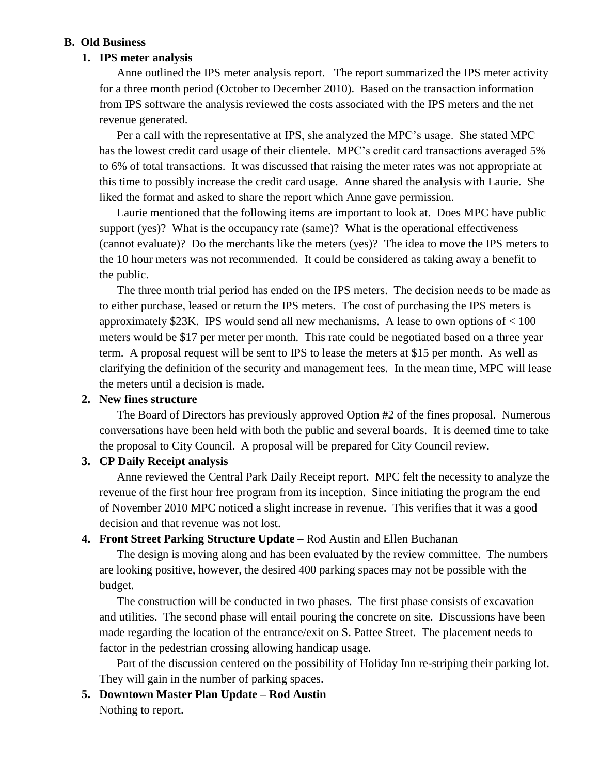### **B. Old Business**

#### **1. IPS meter analysis**

Anne outlined the IPS meter analysis report. The report summarized the IPS meter activity for a three month period (October to December 2010). Based on the transaction information from IPS software the analysis reviewed the costs associated with the IPS meters and the net revenue generated.

Per a call with the representative at IPS, she analyzed the MPC's usage. She stated MPC has the lowest credit card usage of their clientele. MPC's credit card transactions averaged 5% to 6% of total transactions. It was discussed that raising the meter rates was not appropriate at this time to possibly increase the credit card usage. Anne shared the analysis with Laurie. She liked the format and asked to share the report which Anne gave permission.

Laurie mentioned that the following items are important to look at. Does MPC have public support (yes)? What is the occupancy rate (same)? What is the operational effectiveness (cannot evaluate)? Do the merchants like the meters (yes)? The idea to move the IPS meters to the 10 hour meters was not recommended. It could be considered as taking away a benefit to the public.

The three month trial period has ended on the IPS meters. The decision needs to be made as to either purchase, leased or return the IPS meters. The cost of purchasing the IPS meters is approximately \$23K. IPS would send all new mechanisms. A lease to own options of < 100 meters would be \$17 per meter per month. This rate could be negotiated based on a three year term. A proposal request will be sent to IPS to lease the meters at \$15 per month. As well as clarifying the definition of the security and management fees. In the mean time, MPC will lease the meters until a decision is made.

### **2. New fines structure**

The Board of Directors has previously approved Option #2 of the fines proposal. Numerous conversations have been held with both the public and several boards. It is deemed time to take the proposal to City Council. A proposal will be prepared for City Council review.

#### **3. CP Daily Receipt analysis**

Anne reviewed the Central Park Daily Receipt report. MPC felt the necessity to analyze the revenue of the first hour free program from its inception. Since initiating the program the end of November 2010 MPC noticed a slight increase in revenue. This verifies that it was a good decision and that revenue was not lost.

### **4. Front Street Parking Structure Update –** Rod Austin and Ellen Buchanan

The design is moving along and has been evaluated by the review committee. The numbers are looking positive, however, the desired 400 parking spaces may not be possible with the budget.

The construction will be conducted in two phases. The first phase consists of excavation and utilities. The second phase will entail pouring the concrete on site. Discussions have been made regarding the location of the entrance/exit on S. Pattee Street. The placement needs to factor in the pedestrian crossing allowing handicap usage.

Part of the discussion centered on the possibility of Holiday Inn re-striping their parking lot. They will gain in the number of parking spaces.

## **5. Downtown Master Plan Update – Rod Austin**

Nothing to report.